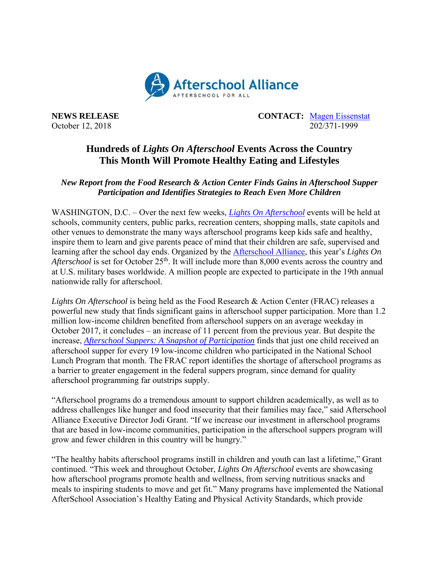

**NEWS RELEASE CONTACT:** [Magen Eissenstat](mailto:magen@prsolutionsdc.com) October 12, 2018 202/371-1999

## **Hundreds of** *Lights On Afterschool* **Events Across the Country This Month Will Promote Healthy Eating and Lifestyles**

## *New Report from the Food Research & Action Center Finds Gains in Afterschool Supper Participation and Identifies Strategies to Reach Even More Children*

WASHINGTON, D.C. – Over the next few weeks, *[Lights On Afterschool](http://www.afterschoolalliance.org/loa.cfm)* events will be held at schools, community centers, public parks, recreation centers, shopping malls, state capitols and other venues to demonstrate the many ways afterschool programs keep kids safe and healthy, inspire them to learn and give parents peace of mind that their children are safe, supervised and learning after the school day ends. Organized by the [Afterschool Alliance,](http://www.afterschoolalliance.org/) this year's *Lights On Afterschool* is set for October 25<sup>th</sup>. It will include more than 8,000 events across the country and at U.S. military bases worldwide. A million people are expected to participate in the 19th annual nationwide rally for afterschool.

*Lights On Afterschool* is being held as the Food Research & Action Center (FRAC) releases a powerful new study that finds significant gains in afterschool supper participation. More than 1.2 million low-income children benefited from afterschool suppers on an average weekday in October 2017, it concludes – an increase of 11 percent from the previous year. But despite the increase, *[Afterschool Suppers: A Snapshot of Participation](http://www.frac.org/research/resource-library/afterschool-suppers-snapshot-participation-october-2018)* finds that just one child received an afterschool supper for every 19 low-income children who participated in the National School Lunch Program that month. The FRAC report identifies the shortage of afterschool programs as a barrier to greater engagement in the federal suppers program, since demand for quality afterschool programming far outstrips supply.

"Afterschool programs do a tremendous amount to support children academically, as well as to address challenges like hunger and food insecurity that their families may face," said Afterschool Alliance Executive Director Jodi Grant. "If we increase our investment in afterschool programs that are based in low-income communities, participation in the afterschool suppers program will grow and fewer children in this country will be hungry."

"The healthy habits afterschool programs instill in children and youth can last a lifetime," Grant continued. "This week and throughout October, *Lights On Afterschool* events are showcasing how afterschool programs promote health and wellness, from serving nutritious snacks and meals to inspiring students to move and get fit." Many programs have implemented the National AfterSchool Association's Healthy Eating and Physical Activity Standards, which provide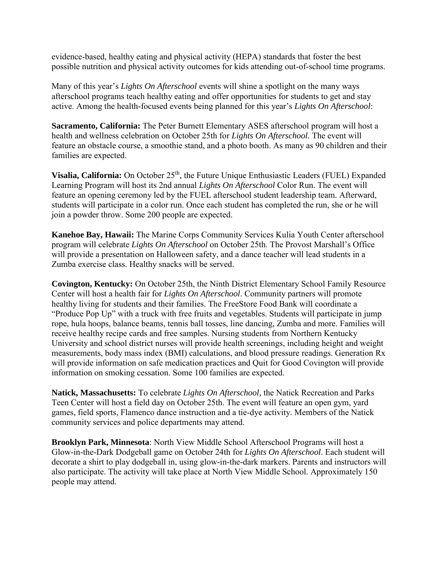evidence-based, healthy eating and physical activity (HEPA) standards that foster the best possible nutrition and physical activity outcomes for kids attending out-of-school time programs.

Many of this year's *Lights On Afterschool* events will shine a spotlight on the many ways afterschool programs teach healthy eating and offer opportunities for students to get and stay active. Among the health-focused events being planned for this year's *Lights On Afterschool*:

**Sacramento, California:** The Peter Burnett Elementary ASES afterschool program will host a health and wellness celebration on October 25th for *Lights On Afterschool.* The event will feature an obstacle course, a smoothie stand, and a photo booth. As many as 90 children and their families are expected.

Visalia, California: On October 25<sup>th</sup>, the Future Unique Enthusiastic Leaders (FUEL) Expanded Learning Program will host its 2nd annual *Lights On Afterschool* Color Run. The event will feature an opening ceremony led by the FUEL afterschool student leadership team. Afterward, students will participate in a color run. Once each student has completed the run, she or he will join a powder throw. Some 200 people are expected.

**Kanehoe Bay, Hawaii:** The Marine Corps Community Services Kulia Youth Center afterschool program will celebrate *Lights On Afterschool* on October 25th. The Provost Marshall's Office will provide a presentation on Halloween safety, and a dance teacher will lead students in a Zumba exercise class. Healthy snacks will be served.

**Covington, Kentucky:** On October 25th, the Ninth District Elementary School Family Resource Center will host a health fair for *Lights On Afterschool*. Community partners will promote healthy living for students and their families. The FreeStore Food Bank will coordinate a "Produce Pop Up" with a truck with free fruits and vegetables. Students will participate in jump rope, hula hoops, balance beams, tennis ball tosses, line dancing, Zumba and more. Families will receive healthy recipe cards and free samples. Nursing students from Northern Kentucky University and school district nurses will provide health screenings, including height and weight measurements, body mass index (BMI) calculations, and blood pressure readings. Generation Rx will provide information on safe medication practices and Ouit for Good Covington will provide information on smoking cessation. Some 100 families are expected.

**Natick, Massachusetts:** To celebrate *Lights On Afterschool,* the Natick Recreation and Parks Teen Center will host a field day on October 25th. The event will feature an open gym, yard games, field sports, Flamenco dance instruction and a tie-dye activity. Members of the Natick community services and police departments may attend.

**Brooklyn Park, Minnesota**: North View Middle School Afterschool Programs will host a Glow-in-the-Dark Dodgeball game on October 24th for *Lights On Afterschool*. Each student will decorate a shirt to play dodgeball in, using glow-in-the-dark markers. Parents and instructors will also participate. The activity will take place at North View Middle School. Approximately 150 people may attend.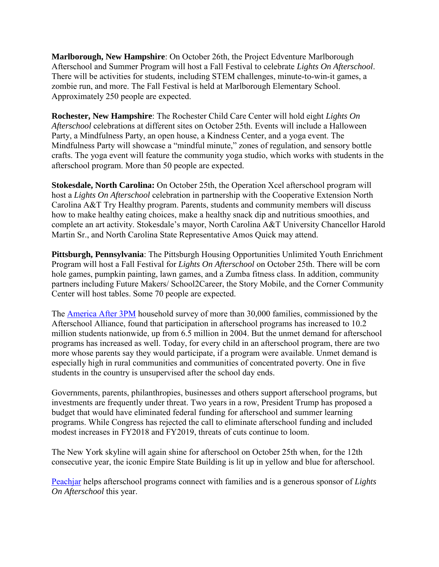**Marlborough, New Hampshire**: On October 26th, the Project Edventure Marlborough Afterschool and Summer Program will host a Fall Festival to celebrate *Lights On Afterschool*. There will be activities for students, including STEM challenges, minute-to-win-it games, a zombie run, and more. The Fall Festival is held at Marlborough Elementary School. Approximately 250 people are expected.

**Rochester, New Hampshire**: The Rochester Child Care Center will hold eight *Lights On Afterschool* celebrations at different sites on October 25th. Events will include a Halloween Party, a Mindfulness Party, an open house, a Kindness Center, and a yoga event. The Mindfulness Party will showcase a "mindful minute," zones of regulation, and sensory bottle crafts. The yoga event will feature the community yoga studio, which works with students in the afterschool program. More than 50 people are expected.

**Stokesdale, North Carolina:** On October 25th, the Operation Xcel afterschool program will host a *Lights On Afterschool* celebration in partnership with the Cooperative Extension North Carolina A&T Try Healthy program. Parents, students and community members will discuss how to make healthy eating choices, make a healthy snack dip and nutritious smoothies, and complete an art activity. Stokesdale's mayor, North Carolina A&T University Chancellor Harold Martin Sr., and North Carolina State Representative Amos Quick may attend.

**Pittsburgh, Pennsylvania**: The Pittsburgh Housing Opportunities Unlimited Youth Enrichment Program will host a Fall Festival for *Lights On Afterschool* on October 25th. There will be corn hole games, pumpkin painting, lawn games, and a Zumba fitness class. In addition, community partners including Future Makers/ School2Career, the Story Mobile, and the Corner Community Center will host tables. Some 70 people are expected.

The [America After 3PM](http://www.afterschoolalliance.org/AA3PM/) household survey of more than 30,000 families, commissioned by the Afterschool Alliance, found that participation in afterschool programs has increased to 10.2 million students nationwide, up from 6.5 million in 2004. But the unmet demand for afterschool programs has increased as well. Today, for every child in an afterschool program, there are two more whose parents say they would participate, if a program were available. Unmet demand is especially high in rural communities and communities of concentrated poverty. One in five students in the country is unsupervised after the school day ends.

Governments, parents, philanthropies, businesses and others support afterschool programs, but investments are frequently under threat. Two years in a row, President Trump has proposed a budget that would have eliminated federal funding for afterschool and summer learning programs. While Congress has rejected the call to eliminate afterschool funding and included modest increases in FY2018 and FY2019, threats of cuts continue to loom.

The New York skyline will again shine for afterschool on October 25th when, for the 12th consecutive year, the iconic Empire State Building is lit up in yellow and blue for afterschool.

[Peachjar](https://peachjar.com/?utm_source=afterschool-alliance&utm_medium=press-release&utm_campaign=Afterschool%20Alliance%20Press%20Release%20Homepage) helps afterschool programs connect with families and is a generous sponsor of *Lights On Afterschool* this year.